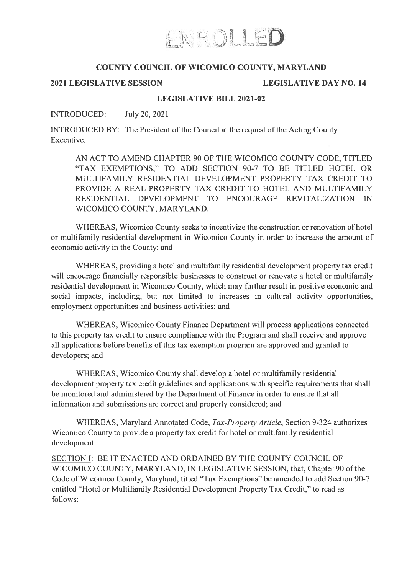

# COUNTY COUNCIL OF WICOMICO COUNTY, MARYLAND

## 2021 LEGISLATIVE SESSION LEGISLATIVE DAY NO. 14

## LEGISLATIVE BILL 2021-02

## INTRODUCED: July 20, 2021

INTRODUCED BY: The President of the Council at the reques<sup>t</sup> of the Acting County Executive.

AN ACT TO AMEND CHAPTER 90 OF THE WICOMICO COUNTY CODE, TITLED "TAX EXEMPTIONS," TO ADD SECTION 90-7 TO BE TITLED HOTEL OR MULTIFAMILY RESIDENTIAL DEVELOPMENT PROPERTY TAX CREDIT TO PROVIDE A REAL PROPERTY TAX CREDIT TO HOTEL AND MULTIFAMILY RESIDENTIAL DEVELOPMENT TO ENCOURAGE REVITALIZATION IN WICOMICO COUNTY, MARYLAND.

WHEREAS, Wicomico County seeks to incentivize the construction or renovation of hotel or multifamily residential development in Wicomico County in order to increase the amount of economic activity in the County; and

WHEREAS, providing <sup>a</sup> hotel and multifamily residential development property tax credit will encourage financially responsible businesses to construct or renovate <sup>a</sup> hotel or multifamily residential development in Wicomico County, which may further result in positive economic and social impacts, including, but not limited to increases in cultural activity opportunities, employment opportunities and business activities; and

WHEREAS, Wicomico County Finance Department will process applications connected to this property tax credit to ensure compliance with the Program and shall receive and approve all applications before benefits of this tax exemption program are approved and granted to developers; and

WHEREAS, Wicomico County shall develop <sup>a</sup> hotel or multifamily residential development property tax credit guidelines and applications with specific requirements that shall be monitored and administered by the Department of Finance in order to ensure that all information and submissions are correct and properly considered; and

WHEREAS, Maryland Annotated Code, Tax-Property Article, Section 9-324 authorizes Wicomico County to provide <sup>a</sup> property tax credit for hotel or multifamily residential development.

SECTION I: BE IT ENACTED AND ORDAINED BY THE COUNTY COUNCIL OF WICOMICO COUNTY, MARYLAND, IN LEGISLATIVE SESSION, that, Chapter 90 of the Code of Wicomico County, Maryland, titled "Tax Exemptions" be amended to add Section 90-7 entitled "Hotel or Multifamily Residential Development Property Tax Credit," to read as follows: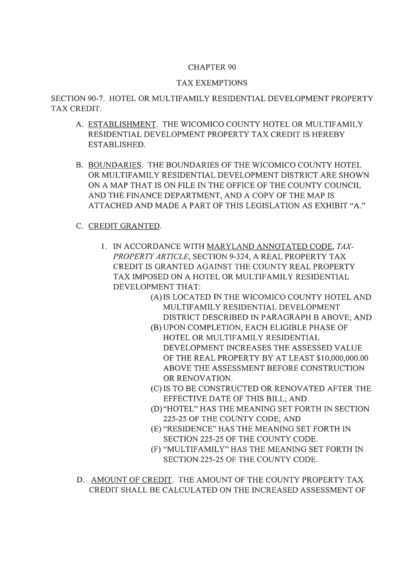# CHAPTER 90

# TAX EXEMPTIONS

SECTION 90-7. HOTEL OR MULTIFAMILY RESIDENTIAL DEVELOPMENT PROPERTY TAX CREDIT.

- A. ESTABLISHMENT. THE WICOMICO COUNTY HOTEL OR MULTIFAMILY RESIDENTIAL DEVELOPMENT PROPERTY TAX CREDIT IS HEREBY ESTABLISHED.
- B. BOUNDARIES. THE BOUNDARIES OF THE WICOMICO COUNTY HOTEL OR MULTIFAMILY RESIDENTIAL DEVELOPMENT DISTRICT ARE SHOWN ON A MAP THAT IS ON FILE IN THE OFFICE OF THE COUNTY COUNCIL AND THE FINANCE DEPARTMENT, AND A COPY OF THE MAP IS ATTACHED AND MADE A PART OF THIS LEGISLATION AS EXHIBIT "A."

# C. CREDIT GRANTED.

- 1. IN ACCORDANCE WITH MARYLAND ANNOTATED CODE, TAX-PROPERTY ARTICLE, SECTION 9-324, A REAL PROPERTY TAX CREDIT IS GRANTED AGAINST THE COUNTY REAL PROPERTY TAX IMPOSED ON A HOTEL OR MULTIFAMILY RESIDENTIAL DEVELOPMENT THAT:
	- (A) IS LOCATED IN THE WICOMICO COUNTY HOTEL AND MULTIFAMILY RESIDENTIAL DEVELOPMENT DISTRICT DESCRIBED IN PARAGRAPH B ABOVE; AND
	- (B) UPON COMPLETION, EACH ELIGIBLE PHASE OF HOTEL OR MULTIFAMILY RESIDENTIAL DEVELOPMENT INCREASES THE ASSESSED VALUE OF THE REAL PROPERTY BY AT LEAST \$10,000,000.00 ABOVE THE ASSESSMENT BEFORE CONSTRUCTION OR RENOVATION.
	- (C) IS TO BE CONSTRUCTED OR RENOVATED AFTER THE EFFECTIVE DATE OF THIS BILL; AND
	- (D)"HOTEL" HAS THE MEANING SET FORTH IN SECTION 225-25 OF THE COUNTY CODE; AND
	- (E) "RESIDENCE" HAS THE MEANING SET FORTH IN SECTION 225-25 OF THE COUNTY CODE.
	- (F) "MULTIFAMILY" HAS THE MEANING SET FORTH IN SECTION 225-25 OF THE COUNTY CODE.
- D. AMOUNT OF CREDIT. THE AMOUNT OF THE COUNTY PROPERTY TAX CREDIT SHALL BE CALCULATED ON THE INCREASED ASSESSMENT OF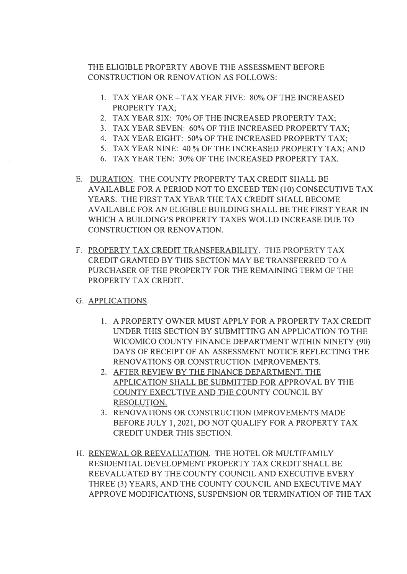THE ELIGIBLE PROPERTY ABOVE THE ASSESSMENT BEFORE CONSTRUCTION OR RENOVATION AS FOLLOWS:

- 1. TAX YEAR ONE TAX YEAR FIVE: 80% OF THE INCREASED PROPERTY TAX;
- 2. TAX YEAR SIX: 70% OF THE INCREASED PROPERTY TAX;
- 3. TAX YEAR SEVEN: 60% OF THE INCREASED PROPERTY TAX;
- 4. TAX YEAR EIGHT: 50% OF THE INCREASED PROPERTY TAX;
- 5. TAX YEAR NINE: 40 % OF THE INCREASED PROPERTY TAX; AND
- 6. TAX YEAR TEN: 30% OF THE INCREASED PROPERTY TAX.
- E. DURATION. THE COUNTY PROPERTY TAX CREDIT SHALL BE AVAILABLE FOR A PERIOD NOT TO EXCEED TEN (10) CONSECUTIVE TAX YEARS. THE FIRST TAX YEAR THE TAX CREDIT SHALL BECOME AVAILABLE FOR AN ELIGIBLE BUILDING SHALL BE THE FIRST YEAR IN WHICH A BUILDING'S PROPERTY TAXES WOULD INCREASE DUE TO CONSTRUCTION OR RENOVATION.
- F. PROPERTY TAX CREDIT TRANSFERABILITY. THE PROPERTY TAX CREDIT GRANTED BY THIS SECTION MAY BE TRANSFERRED TO A PURCHASER OF THE PROPERTY FOR THE REMAINING TERM OF THE PROPERTY TAX CREDIT.
- G. APPLICATIONS.
	- 1. A PROPERTY OWNER MUST APPLY FOR A PROPERTY TAX CREDIT UNDER THIS SECTION BY SUBMITTING AN APPLICATION TO THE WICOMICO COUNTY FINANCE DEPARTMENT WITHIN NINETY (90) DAYS OF RECEIPT OF AN ASSESSMENT NOTICE REFLECTING THE RENOVATIONS OR CONSTRUCTION IMPROVEMENTS.
	- 2. AFTER REVIEW BY THE FINANCE DEPARTMENT, THE APPLICATION SHALL BE SUBMITTED FOR APPROVAL BY THE COUNTY EXECUTIVE AND THE COUNTY COUNCIL BY RESOLUTION.
	- 3. RENOVATIONS OR CONSTRUCTION IMPROVEMENTS MADE BEFORE JULY 1,2021, DO NOT QUALIFY FOR A PROPERTY TAX CREDIT UNDER THIS SECTION.
- H. RENEWAL OR REEVALUATION. THE HOTEL OR MULTIFAMILY RESIDENTIAL DEVELOPMENT PROPERTY TAX CREDIT SHALL BE REEVALUATED BY THE COUNTY COUNCIL AND EXECUTIVE EVERY THREE (3) YEARS, AND THE COUNTY COUNCIL AND EXECUTIVE MAY APPROVE MODIFICATIONS, SUSPENSION OR TERMINATION OF THE TAX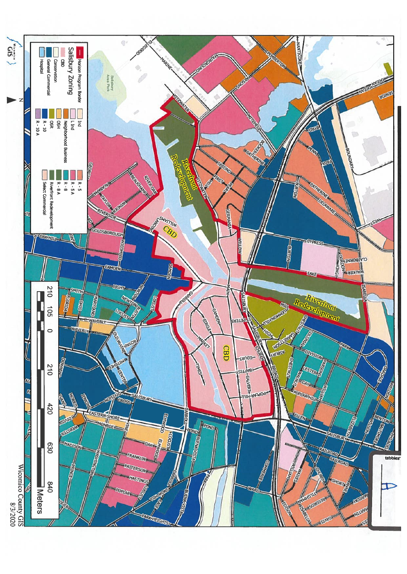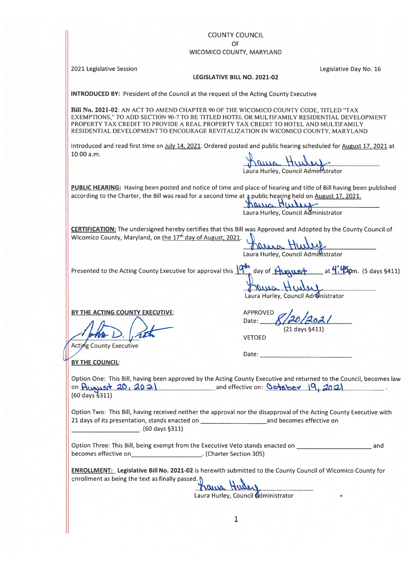### COUNTY COUNCIL

#### OF

#### WICOMICO COUNTY, MARYLAND

2021 Legislative Session Legislative Day No. 16

#### LEGISLATIVE BILL NO. 2021-02

INTRODUCED BY: President of the Council at the reques<sup>t</sup> of the Acting County Executive

Bill No. 2021-02: AN ACT TO AMEND CHAPTER 90 OF THE WICOMICO COUNTY CODE, TITLED "TAX EXEMPTIONS," TO ADD SECTION 90-7 TO BE TITLED HOTEL OR MULTIFAMILY RESIDENTIAL DEVELOPMENT PROPERTY TAX CREDIT TO PROVIDE A REAL PROPERTY TAX CREDIT TO HOTEL AND MULTIFAMILY RESIDENTIAL DEVELOPMENT TO ENCOURAGE REVITALIZATION IN WICOMICO COUNTY, MARYLAND Presented to the Acting County Executive for approva<sup>l</sup> this 'day of \_\_\_\_\_\_\_\_\_\_\_\_\_\_\_\_ at {±.Qm. (5 days §411) COUNTY COUNTY COUNTY COUNTY.<br>
WICOMICO COUNTY, MARYLAND<br>
BERMITTER SERVICES AND LARGE UNITED HOT COUNTY, MARYLAND<br>
BERMITTEN TAX. CONTEND AND CHANGE THE RESERVED ON MULTIFARTY TAX. CREDIT TO ENCOUND COUNTY, NOTE THAT AN A COUNTY COUNCIL<br>
WICOMICO COUNTY, MARYIAND<br>
ESSEATIVE BUL MO. 2021-02<br>
ILENERATIVE BUL MO. 2021-02<br>
BULKA: 2021-02<br>
BULKA: 2021-02<br>
SURFACE DIVERSION TO THE DIVERSION COUNTY (COUNTY COUNTY) COUNTY: COUNTY<br>
FROM THE COUNTY

Introduced and read first time on July 14, 2021. Ordered posted and public hearing scheduled for August 17, 2021 at 10:00 a.m.

Laura Hurley, Council Administrator

PUBLIC HEARING: Having been posted and notice of time and place of hearing and title of Bill having been published according to the Charter, the Bill was read for a second time at a public hearing held on August 17, 2021.

**Hurley, Council Administrator** 

CERTIFICATION: The undersigned hereby certifies that this Bill was Approved and Adopted by the County Council of Wicomico County, Maryland, on the 17<sup>th</sup> day of August, 2021.

**Music Hurley**<br>Laura Hurley, Council Administrator

Hawa Hurry Laura Hurley, Council Adronistrator

BY THE ACTING COUNTY EXECUTIVE: APPROVED

Acting County Executive

VETOED (21 days §411)

Date:

Date: **Date:** 

BY THE COUNCIL:

Option One: This Bill, having been approved by the Acting County Executive and returned to the Council, becomes law on August  $20, 2021$  and effective on: October  $19, 2021$ (60 days §311)

Option Two: This Bill, having received neither the approval nor the disapproval of the Acting County Executive with 21 days of its presentation, stands enacted on \_\_\_\_\_\_\_\_\_\_\_\_\_\_\_\_\_\_\_\_\_\_\_\_\_\_\_\_\_\_\_\_\_\_ and becomes effective on  $(60 \text{ days } 5311)$ 

becomes effective on . (Charter Section 305)

ENROLLMENT: Legislative Bill No. 2021-02 is herewith submitted to the County Council of Wicomico County for enrollment as being the text as finally passed. ç'

Laura Hurley, Council **Odministrator**